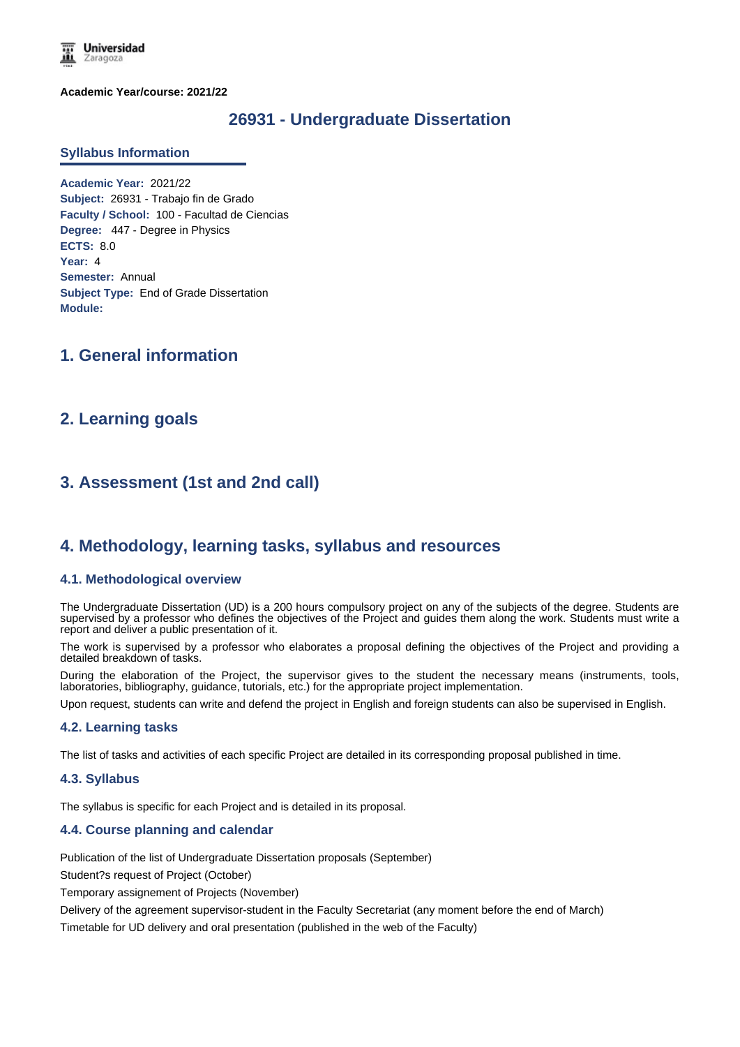**Universidad** Zaragoza

**Academic Year/course: 2021/22**

## **26931 - Undergraduate Dissertation**

#### **Syllabus Information**

**Academic Year:** 2021/22 **Subject:** 26931 - Trabajo fin de Grado **Faculty / School:** 100 - Facultad de Ciencias **Degree:** 447 - Degree in Physics **ECTS:** 8.0 **Year:** 4 **Semester:** Annual **Subject Type:** End of Grade Dissertation **Module:**

## **1. General information**

## **2. Learning goals**

# **3. Assessment (1st and 2nd call)**

## **4. Methodology, learning tasks, syllabus and resources**

#### **4.1. Methodological overview**

The Undergraduate Dissertation (UD) is a 200 hours compulsory project on any of the subjects of the degree. Students are supervised by a professor who defines the objectives of the Project and guides them along the work. Students must write a report and deliver a public presentation of it.

The work is supervised by a professor who elaborates a proposal defining the objectives of the Project and providing a detailed breakdown of tasks.

During the elaboration of the Project, the supervisor gives to the student the necessary means (instruments, tools, laboratories, bibliography, guidance, tutorials, etc.) for the appropriate project implementation.

Upon request, students can write and defend the project in English and foreign students can also be supervised in English.

### **4.2. Learning tasks**

The list of tasks and activities of each specific Project are detailed in its corresponding proposal published in time.

#### **4.3. Syllabus**

The syllabus is specific for each Project and is detailed in its proposal.

### **4.4. Course planning and calendar**

Publication of the list of Undergraduate Dissertation proposals (September)

Student?s request of Project (October)

Temporary assignement of Projects (November)

Delivery of the agreement supervisor-student in the Faculty Secretariat (any moment before the end of March)

Timetable for UD delivery and oral presentation (published in the web of the Faculty)